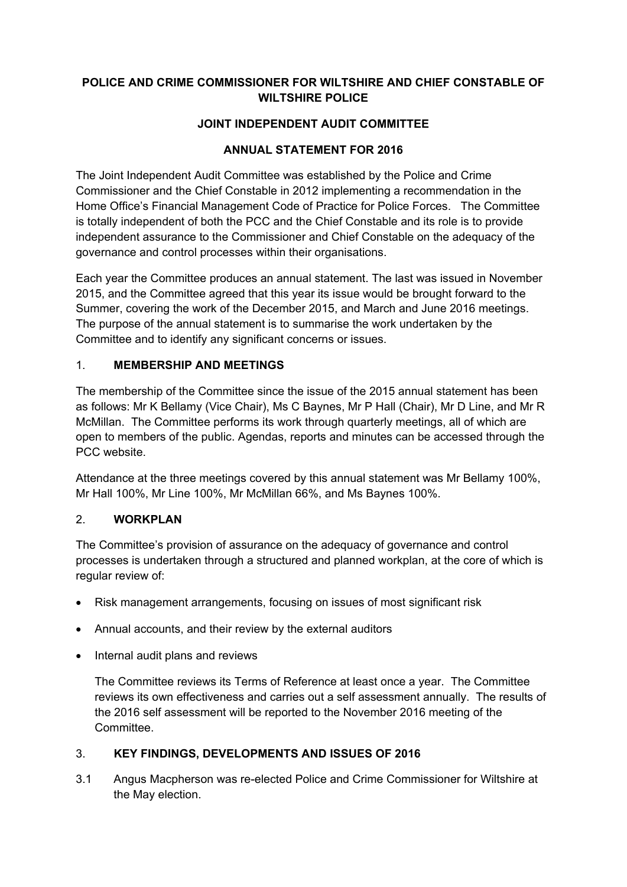## **POLICE AND CRIME COMMISSIONER FOR WILTSHIRE AND CHIEF CONSTABLE OF WILTSHIRE POLICE**

# **JOINT INDEPENDENT AUDIT COMMITTEE**

## **ANNUAL STATEMENT FOR 2016**

The Joint Independent Audit Committee was established by the Police and Crime Commissioner and the Chief Constable in 2012 implementing a recommendation in the Home Office's Financial Management Code of Practice for Police Forces. The Committee is totally independent of both the PCC and the Chief Constable and its role is to provide independent assurance to the Commissioner and Chief Constable on the adequacy of the governance and control processes within their organisations.

Each year the Committee produces an annual statement. The last was issued in November 2015, and the Committee agreed that this year its issue would be brought forward to the Summer, covering the work of the December 2015, and March and June 2016 meetings. The purpose of the annual statement is to summarise the work undertaken by the Committee and to identify any significant concerns or issues.

#### 1. **MEMBERSHIP AND MEETINGS**

The membership of the Committee since the issue of the 2015 annual statement has been as follows: Mr K Bellamy (Vice Chair), Ms C Baynes, Mr P Hall (Chair), Mr D Line, and Mr R McMillan. The Committee performs its work through quarterly meetings, all of which are open to members of the public. Agendas, reports and minutes can be accessed through the PCC website.

Attendance at the three meetings covered by this annual statement was Mr Bellamy 100%, Mr Hall 100%, Mr Line 100%, Mr McMillan 66%, and Ms Baynes 100%.

#### 2. **WORKPLAN**

The Committee's provision of assurance on the adequacy of governance and control processes is undertaken through a structured and planned workplan, at the core of which is regular review of:

- Risk management arrangements, focusing on issues of most significant risk
- Annual accounts, and their review by the external auditors
- Internal audit plans and reviews

The Committee reviews its Terms of Reference at least once a year. The Committee reviews its own effectiveness and carries out a self assessment annually. The results of the 2016 self assessment will be reported to the November 2016 meeting of the Committee.

# 3. **KEY FINDINGS, DEVELOPMENTS AND ISSUES OF 2016**

3.1 Angus Macpherson was re-elected Police and Crime Commissioner for Wiltshire at the May election.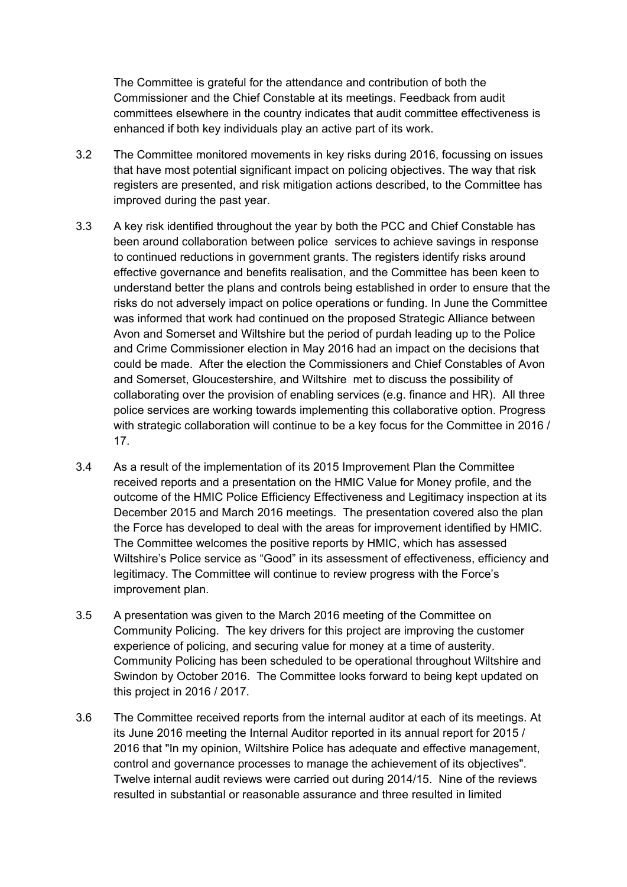The Committee is grateful for the attendance and contribution of both the Commissioner and the Chief Constable at its meetings. Feedback from audit committees elsewhere in the country indicates that audit committee effectiveness is enhanced if both key individuals play an active part of its work.

- 3.2 The Committee monitored movements in key risks during 2016, focussing on issues that have most potential significant impact on policing objectives. The way that risk registers are presented, and risk mitigation actions described, to the Committee has improved during the past year.
- 3.3 A key risk identified throughout the year by both the PCC and Chief Constable has been around collaboration between police services to achieve savings in response to continued reductions in government grants. The registers identify risks around effective governance and benefits realisation, and the Committee has been keen to understand better the plans and controls being established in order to ensure that the risks do not adversely impact on police operations or funding. In June the Committee was informed that work had continued on the proposed Strategic Alliance between Avon and Somerset and Wiltshire but the period of purdah leading up to the Police and Crime Commissioner election in May 2016 had an impact on the decisions that could be made. After the election the Commissioners and Chief Constables of Avon and Somerset, Gloucestershire, and Wiltshire met to discuss the possibility of collaborating over the provision of enabling services (e.g. finance and HR). All three police services are working towards implementing this collaborative option. Progress with strategic collaboration will continue to be a key focus for the Committee in 2016 / 17.
- 3.4 As a result of the implementation of its 2015 Improvement Plan the Committee received reports and a presentation on the HMIC Value for Money profile, and the outcome of the HMIC Police Efficiency Effectiveness and Legitimacy inspection at its December 2015 and March 2016 meetings. The presentation covered also the plan the Force has developed to deal with the areas for improvement identified by HMIC. The Committee welcomes the positive reports by HMIC, which has assessed Wiltshire's Police service as "Good" in its assessment of effectiveness, efficiency and legitimacy. The Committee will continue to review progress with the Force's improvement plan.
- 3.5 A presentation was given to the March 2016 meeting of the Committee on Community Policing. The key drivers for this project are improving the customer experience of policing, and securing value for money at a time of austerity. Community Policing has been scheduled to be operational throughout Wiltshire and Swindon by October 2016. The Committee looks forward to being kept updated on this project in 2016 / 2017.
- 3.6 The Committee received reports from the internal auditor at each of its meetings. At its June 2016 meeting the Internal Auditor reported in its annual report for 2015 / 2016 that "In my opinion, Wiltshire Police has adequate and effective management, control and governance processes to manage the achievement of its objectives". Twelve internal audit reviews were carried out during 2014/15. Nine of the reviews resulted in substantial or reasonable assurance and three resulted in limited